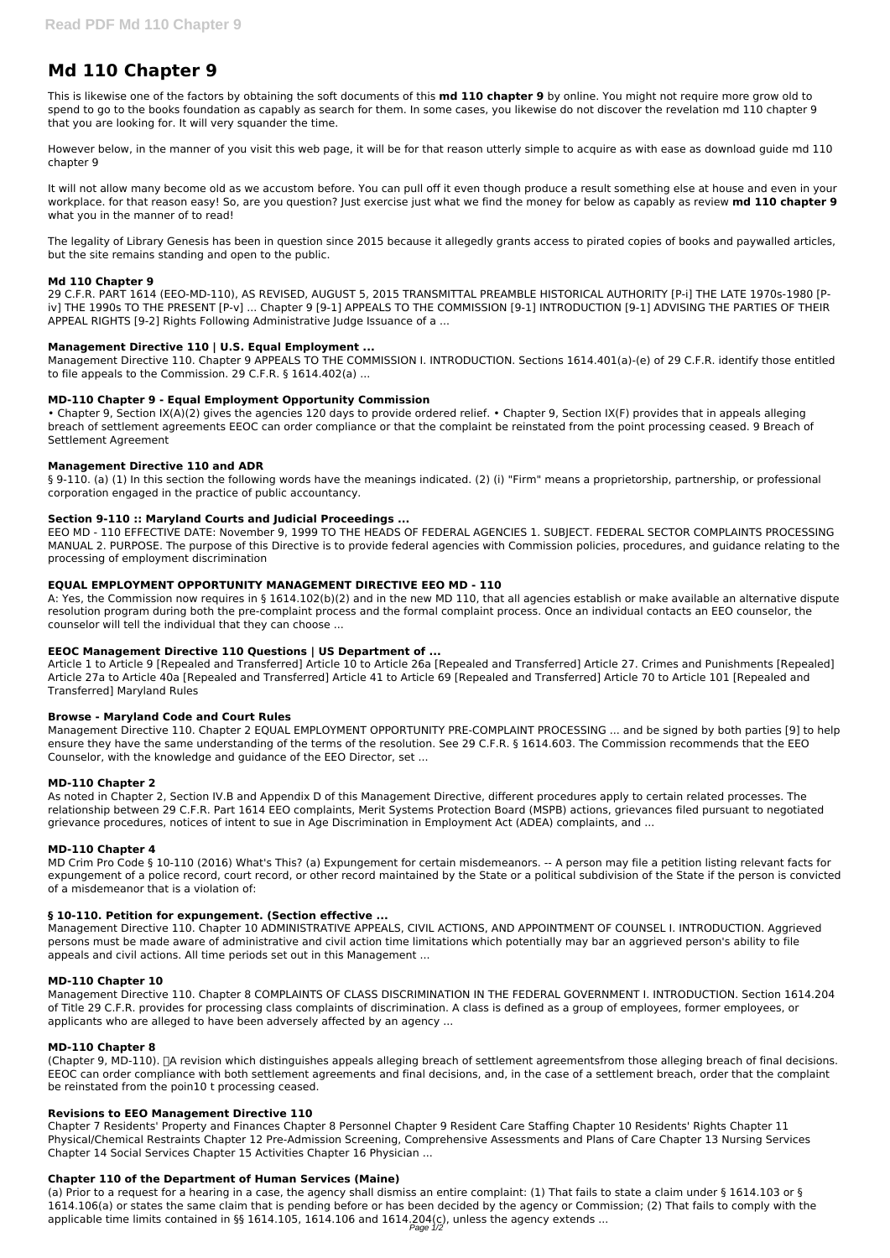# **Md 110 Chapter 9**

This is likewise one of the factors by obtaining the soft documents of this **md 110 chapter 9** by online. You might not require more grow old to spend to go to the books foundation as capably as search for them. In some cases, you likewise do not discover the revelation md 110 chapter 9 that you are looking for. It will very squander the time.

However below, in the manner of you visit this web page, it will be for that reason utterly simple to acquire as with ease as download guide md 110 chapter 9

It will not allow many become old as we accustom before. You can pull off it even though produce a result something else at house and even in your workplace. for that reason easy! So, are you question? Just exercise just what we find the money for below as capably as review **md 110 chapter 9** what you in the manner of to read!

The legality of Library Genesis has been in question since 2015 because it allegedly grants access to pirated copies of books and paywalled articles, but the site remains standing and open to the public.

### **Md 110 Chapter 9**

§ 9-110. (a) (1) In this section the following words have the meanings indicated. (2) (i) "Firm" means a proprietorship, partnership, or professional corporation engaged in the practice of public accountancy.

29 C.F.R. PART 1614 (EEO-MD-110), AS REVISED, AUGUST 5, 2015 TRANSMITTAL PREAMBLE HISTORICAL AUTHORITY [P-i] THE LATE 1970s-1980 [Piv] THE 1990s TO THE PRESENT [P-v] ... Chapter 9 [9-1] APPEALS TO THE COMMISSION [9-1] INTRODUCTION [9-1] ADVISING THE PARTIES OF THEIR APPEAL RIGHTS [9-2] Rights Following Administrative Judge Issuance of a ...

# **Management Directive 110 | U.S. Equal Employment ...**

Management Directive 110. Chapter 9 APPEALS TO THE COMMISSION I. INTRODUCTION. Sections 1614.401(a)-(e) of 29 C.F.R. identify those entitled to file appeals to the Commission. 29 C.F.R. § 1614.402(a) ...

### **MD-110 Chapter 9 - Equal Employment Opportunity Commission**

• Chapter 9, Section IX(A)(2) gives the agencies 120 days to provide ordered relief. • Chapter 9, Section IX(F) provides that in appeals alleging breach of settlement agreements EEOC can order compliance or that the complaint be reinstated from the point processing ceased. 9 Breach of Settlement Agreement

### **Management Directive 110 and ADR**

#### **Section 9-110 :: Maryland Courts and Judicial Proceedings ...**

EEO MD - 110 EFFECTIVE DATE: November 9, 1999 TO THE HEADS OF FEDERAL AGENCIES 1. SUBJECT. FEDERAL SECTOR COMPLAINTS PROCESSING MANUAL 2. PURPOSE. The purpose of this Directive is to provide federal agencies with Commission policies, procedures, and guidance relating to the processing of employment discrimination

# **EQUAL EMPLOYMENT OPPORTUNITY MANAGEMENT DIRECTIVE EEO MD - 110**

(Chapter 9, MD-110). [A revision which distinguishes appeals alleging breach of settlement agreementsfrom those alleging breach of final decisions. EEOC can order compliance with both settlement agreements and final decisions, and, in the case of a settlement breach, order that the complaint be reinstated from the poin10 t processing ceased.

A: Yes, the Commission now requires in § 1614.102(b)(2) and in the new MD 110, that all agencies establish or make available an alternative dispute resolution program during both the pre-complaint process and the formal complaint process. Once an individual contacts an EEO counselor, the counselor will tell the individual that they can choose ...

# **EEOC Management Directive 110 Questions | US Department of ...**

Article 1 to Article 9 [Repealed and Transferred] Article 10 to Article 26a [Repealed and Transferred] Article 27. Crimes and Punishments [Repealed] Article 27a to Article 40a [Repealed and Transferred] Article 41 to Article 69 [Repealed and Transferred] Article 70 to Article 101 [Repealed and Transferred] Maryland Rules

#### **Browse - Maryland Code and Court Rules**

Management Directive 110. Chapter 2 EQUAL EMPLOYMENT OPPORTUNITY PRE-COMPLAINT PROCESSING ... and be signed by both parties [9] to help ensure they have the same understanding of the terms of the resolution. See 29 C.F.R. § 1614.603. The Commission recommends that the EEO Counselor, with the knowledge and guidance of the EEO Director, set ...

# **MD-110 Chapter 2**

As noted in Chapter 2, Section IV.B and Appendix D of this Management Directive, different procedures apply to certain related processes. The relationship between 29 C.F.R. Part 1614 EEO complaints, Merit Systems Protection Board (MSPB) actions, grievances filed pursuant to negotiated grievance procedures, notices of intent to sue in Age Discrimination in Employment Act (ADEA) complaints, and ...

# **MD-110 Chapter 4**

MD Crim Pro Code § 10-110 (2016) What's This? (a) Expungement for certain misdemeanors. -- A person may file a petition listing relevant facts for expungement of a police record, court record, or other record maintained by the State or a political subdivision of the State if the person is convicted of a misdemeanor that is a violation of:

# **§ 10-110. Petition for expungement. (Section effective ...**

Management Directive 110. Chapter 10 ADMINISTRATIVE APPEALS, CIVIL ACTIONS, AND APPOINTMENT OF COUNSEL I. INTRODUCTION. Aggrieved persons must be made aware of administrative and civil action time limitations which potentially may bar an aggrieved person's ability to file

appeals and civil actions. All time periods set out in this Management ...

#### **MD-110 Chapter 10**

Management Directive 110. Chapter 8 COMPLAINTS OF CLASS DISCRIMINATION IN THE FEDERAL GOVERNMENT I. INTRODUCTION. Section 1614.204 of Title 29 C.F.R. provides for processing class complaints of discrimination. A class is defined as a group of employees, former employees, or applicants who are alleged to have been adversely affected by an agency ...

#### **MD-110 Chapter 8**

#### **Revisions to EEO Management Directive 110**

Chapter 7 Residents' Property and Finances Chapter 8 Personnel Chapter 9 Resident Care Staffing Chapter 10 Residents' Rights Chapter 11 Physical/Chemical Restraints Chapter 12 Pre-Admission Screening, Comprehensive Assessments and Plans of Care Chapter 13 Nursing Services Chapter 14 Social Services Chapter 15 Activities Chapter 16 Physician ...

#### **Chapter 110 of the Department of Human Services (Maine)**

(a) Prior to a request for a hearing in a case, the agency shall dismiss an entire complaint: (1) That fails to state a claim under § 1614.103 or § 1614.106(a) or states the same claim that is pending before or has been decided by the agency or Commission; (2) That fails to comply with the applicable time limits contained in §§ 1614.105, 1614.106 and 1614.204(c), unless the agency extends ...